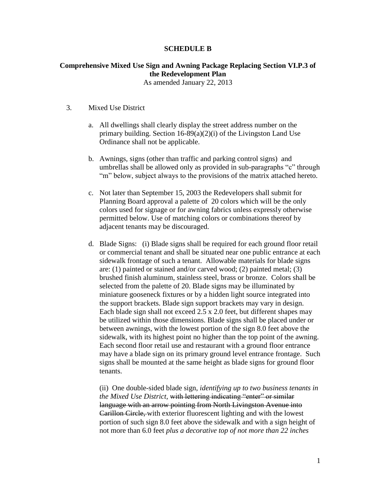## **SCHEDULE B**

## **Comprehensive Mixed Use Sign and Awning Package Replacing Section VI.P.3 of the Redevelopment Plan**

As amended January 22, 2013

## 3. Mixed Use District

- a. All dwellings shall clearly display the street address number on the primary building. Section 16-89(a)(2)(i) of the Livingston Land Use Ordinance shall not be applicable.
- b. Awnings, signs (other than traffic and parking control signs) and umbrellas shall be allowed only as provided in sub-paragraphs "c" through "m" below, subject always to the provisions of the matrix attached hereto.
- c. Not later than September 15, 2003 the Redevelopers shall submit for Planning Board approval a palette of 20 colors which will be the only colors used for signage or for awning fabrics unless expressly otherwise permitted below. Use of matching colors or combinations thereof by adjacent tenants may be discouraged.
- d. Blade Signs: (i) Blade signs shall be required for each ground floor retail or commercial tenant and shall be situated near one public entrance at each sidewalk frontage of such a tenant. Allowable materials for blade signs are: (1) painted or stained and/or carved wood; (2) painted metal; (3) brushed finish aluminum, stainless steel, brass or bronze. Colors shall be selected from the palette of 20. Blade signs may be illuminated by miniature gooseneck fixtures or by a hidden light source integrated into the support brackets. Blade sign support brackets may vary in design. Each blade sign shall not exceed 2.5 x 2.0 feet, but different shapes may be utilized within those dimensions. Blade signs shall be placed under or between awnings, with the lowest portion of the sign 8.0 feet above the sidewalk, with its highest point no higher than the top point of the awning. Each second floor retail use and restaurant with a ground floor entrance may have a blade sign on its primary ground level entrance frontage. Such signs shall be mounted at the same height as blade signs for ground floor tenants.

(ii) One double-sided blade sign, *identifying up to two business tenants in the Mixed Use District,* with lettering indicating "enter" or similar language with an arrow pointing from North Livingston Avenue into Carillon Circle, with exterior fluorescent lighting and with the lowest portion of such sign 8.0 feet above the sidewalk and with a sign height of not more than 6.0 feet *plus a decorative top of not more than 22 inches*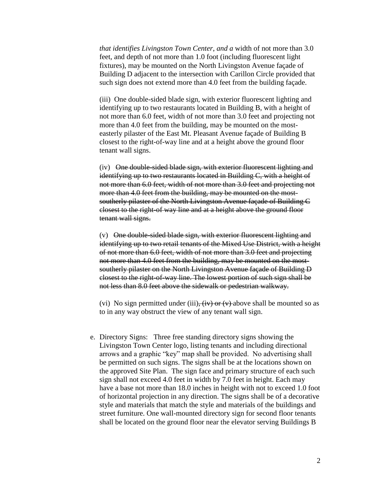*that identifies Livingston Town Center*, *and a* width of not more than 3.0 feet, and depth of not more than 1.0 foot (including fluorescent light fixtures), may be mounted on the North Livingston Avenue façade of Building D adjacent to the intersection with Carillon Circle provided that such sign does not extend more than 4.0 feet from the building façade.

(iii) One double-sided blade sign, with exterior fluorescent lighting and identifying up to two restaurants located in Building B, with a height of not more than 6.0 feet, width of not more than 3.0 feet and projecting not more than 4.0 feet from the building, may be mounted on the mosteasterly pilaster of the East Mt. Pleasant Avenue façade of Building B closest to the right-of-way line and at a height above the ground floor tenant wall signs.

(iv) One double-sided blade sign, with exterior fluorescent lighting and identifying up to two restaurants located in Building C, with a height of not more than 6.0 feet, width of not more than 3.0 feet and projecting not more than 4.0 feet from the building, may be mounted on the mostsoutherly pilaster of the North Livingston Avenue façade of Building C closest to the right-of way line and at a height above the ground floor tenant wall signs.

(v) One double-sided blade sign, with exterior fluorescent lighting and identifying up to two retail tenants of the Mixed Use District, with a height of not more than 6.0 feet, width of not more than 3.0 feet and projecting not more than 4.0 feet from the building, may be mounted on the mostsoutherly pilaster on the North Livingston Avenue façade of Building D closest to the right-of-way line. The lowest portion of such sign shall be not less than 8.0 feet above the sidewalk or pedestrian walkway.

(vi) No sign permitted under (iii),  $(iv)$  or  $(v)$  above shall be mounted so as to in any way obstruct the view of any tenant wall sign.

 e. Directory Signs: Three free standing directory signs showing the Livingston Town Center logo, listing tenants and including directional arrows and a graphic "key" map shall be provided. No advertising shall be permitted on such signs. The signs shall be at the locations shown on the approved Site Plan. The sign face and primary structure of each such sign shall not exceed 4.0 feet in width by 7.0 feet in height. Each may have a base not more than 18.0 inches in height with not to exceed 1.0 foot of horizontal projection in any direction. The signs shall be of a decorative style and materials that match the style and materials of the buildings and street furniture. One wall-mounted directory sign for second floor tenants shall be located on the ground floor near the elevator serving Buildings B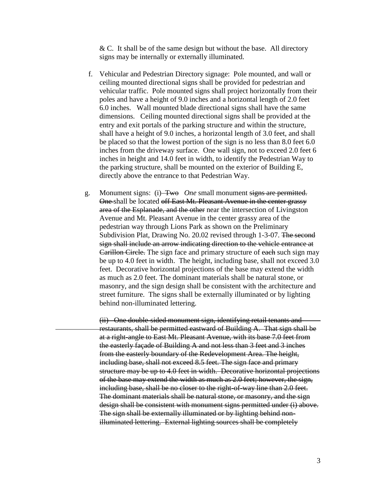$&$  C. It shall be of the same design but without the base. All directory signs may be internally or externally illuminated.

- f. Vehicular and Pedestrian Directory signage: Pole mounted, and wall or ceiling mounted directional signs shall be provided for pedestrian and vehicular traffic. Pole mounted signs shall project horizontally from their poles and have a height of 9.0 inches and a horizontal length of 2.0 feet 6.0 inches. Wall mounted blade directional signs shall have the same dimensions. Ceiling mounted directional signs shall be provided at the entry and exit portals of the parking structure and within the structure, shall have a height of 9.0 inches, a horizontal length of 3.0 feet, and shall be placed so that the lowest portion of the sign is no less than 8.0 feet 6.0 inches from the driveway surface. One wall sign, not to exceed 2.0 feet 6 inches in height and 14.0 feet in width, to identify the Pedestrian Way to the parking structure, shall be mounted on the exterior of Building E, directly above the entrance to that Pedestrian Way.
- g. Monument signs: (i) Two *One* small monument signs are permitted. One shall be located off East Mt. Pleasant Avenue in the center grassy area of the Esplanade, and the other near the intersection of Livingston Avenue and Mt. Pleasant Avenue in the center grassy area of the pedestrian way through Lions Park as shown on the Preliminary Subdivision Plat, Drawing No. 20.02 revised through 1-3-07. The second sign shall include an arrow indicating direction to the vehicle entrance at Carillon Circle. The sign face and primary structure of each such sign may be up to 4.0 feet in width. The height, including base, shall not exceed 3.0 feet. Decorative horizontal projections of the base may extend the width as much as 2.0 feet. The dominant materials shall be natural stone, or masonry, and the sign design shall be consistent with the architecture and street furniture. The signs shall be externally illuminated or by lighting behind non-illuminated lettering.

(ii) One double-sided monument sign, identifying retail tenants and restaurants, shall be permitted eastward of Building A. That sign shall be at a right-angle to East Mt. Pleasant Avenue, with its base 7.0 feet from the easterly façade of Building A and not less than 3 feet and 3 inches from the easterly boundary of the Redevelopment Area. The height, including base, shall not exceed 8.5 feet. The sign face and primary structure may be up to 4.0 feet in width. Decorative horizontal projections of the base may extend the width as much as 2.0 feet; however, the sign, including base, shall be no closer to the right-of-way line than 2.0 feet. The dominant materials shall be natural stone, or masonry, and the sign design shall be consistent with monument signs permitted under (i) above. The sign shall be externally illuminated or by lighting behind nonilluminated lettering. External lighting sources shall be completely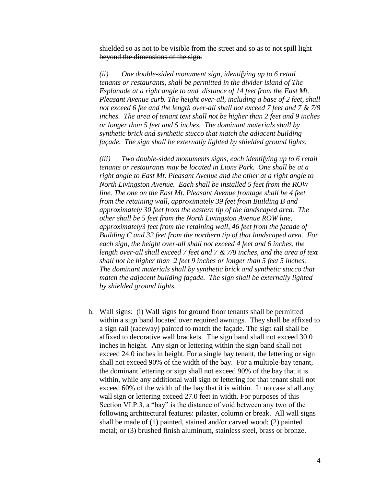shielded so as not to be visible from the street and so as to not spill light beyond the dimensions of the sign.

*(ii) One double-sided monument sign, identifying up to 6 retail tenants or restaurants, shall be permitted in the divider island of The Esplanade at a right angle to and distance of 14 feet from the East Mt. Pleasant Avenue curb. The height over-all, including a base of 2 feet, shall not exceed 6 fee and the length over-all shall not exceed 7 feet and 7 & 7/8 inches. The area of tenant text shall not be higher than 2 feet and 9 inches or longer than 5 feet and 5 inches. The dominant materials shall by synthetic brick and synthetic stucco that match the adjacent building façade. The sign shall be externally lighted by shielded ground lights.*

*(iii) Two double-sided monuments signs, each identifying up to 6 retail tenants or restaurants may be located in Lions Park. One shall be at a right angle to East Mt. Pleasant Avenue and the other at a right angle to North Livingston Avenue. Each shall be installed 5 feet from the ROW line. The one on the East Mt. Pleasant Avenue frontage shall be 4 feet from the retaining wall, approximately 39 feet from Building B and approximately 30 feet from the eastern tip of the landscaped area. The other shall be 5 feet from the North Livingston Avenue ROW line, approximately3 feet from the retaining wall, 46 feet from the facade of Building C and 32 feet from the northern tip of that landscaped area. For each sign, the height over-all shall not exceed 4 feet and 6 inches, the length over-all shall exceed 7 feet and 7 & 7/8 inches, and the area of text shall not be higher than 2 feet 9 inches or longer than 5 feet 5 inches. The dominant materials shall by synthetic brick and synthetic stucco that match the adjacent building façade. The sign shall be externally lighted by shielded ground lights.*

h. Wall signs: (i) Wall signs for ground floor tenants shall be permitted within a sign band located over required awnings. They shall be affixed to a sign rail (raceway) painted to match the façade. The sign rail shall be affixed to decorative wall brackets. The sign band shall not exceed 30.0 inches in height. Any sign or lettering within the sign band shall not exceed 24.0 inches in height. For a single bay tenant, the lettering or sign shall not exceed 90% of the width of the bay. For a multiple-bay tenant, the dominant lettering or sign shall not exceed 90% of the bay that it is within, while any additional wall sign or lettering for that tenant shall not exceed 60% of the width of the bay that it is within. In no case shall any wall sign or lettering exceed 27.0 feet in width. For purposes of this Section VI.P.3, a "bay" is the distance of void between any two of the following architectural features: pilaster, column or break. All wall signs shall be made of (1) painted, stained and/or carved wood; (2) painted metal; or (3) brushed finish aluminum, stainless steel, brass or bronze.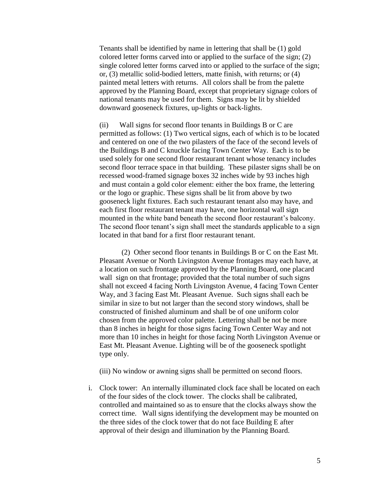Tenants shall be identified by name in lettering that shall be (1) gold colored letter forms carved into or applied to the surface of the sign; (2) single colored letter forms carved into or applied to the surface of the sign; or, (3) metallic solid-bodied letters, matte finish, with returns; or (4) painted metal letters with returns. All colors shall be from the palette approved by the Planning Board, except that proprietary signage colors of national tenants may be used for them. Signs may be lit by shielded downward gooseneck fixtures, up-lights or back-lights.

 (ii) Wall signs for second floor tenants in Buildings B or C are permitted as follows: (1) Two vertical signs, each of which is to be located and centered on one of the two pilasters of the face of the second levels of the Buildings B and C knuckle facing Town Center Way. Each is to be used solely for one second floor restaurant tenant whose tenancy includes second floor terrace space in that building. These pilaster signs shall be on recessed wood-framed signage boxes 32 inches wide by 93 inches high and must contain a gold color element: either the box frame, the lettering or the logo or graphic. These signs shall be lit from above by two gooseneck light fixtures. Each such restaurant tenant also may have, and each first floor restaurant tenant may have, one horizontal wall sign mounted in the white band beneath the second floor restaurant's balcony. The second floor tenant's sign shall meet the standards applicable to a sign located in that band for a first floor restaurant tenant.

(2) Other second floor tenants in Buildings B or C on the East Mt. Pleasant Avenue or North Livingston Avenue frontages may each have, at a location on such frontage approved by the Planning Board, one placard wall sign on that frontage; provided that the total number of such signs shall not exceed 4 facing North Livingston Avenue, 4 facing Town Center Way, and 3 facing East Mt. Pleasant Avenue. Such signs shall each be similar in size to but not larger than the second story windows, shall be constructed of finished aluminum and shall be of one uniform color chosen from the approved color palette. Lettering shall be not be more than 8 inches in height for those signs facing Town Center Way and not more than 10 inches in height for those facing North Livingston Avenue or East Mt. Pleasant Avenue. Lighting will be of the gooseneck spotlight type only.

(iii) No window or awning signs shall be permitted on second floors.

i. Clock tower: An internally illuminated clock face shall be located on each of the four sides of the clock tower. The clocks shall be calibrated, controlled and maintained so as to ensure that the clocks always show the correct time. Wall signs identifying the development may be mounted on the three sides of the clock tower that do not face Building E after approval of their design and illumination by the Planning Board.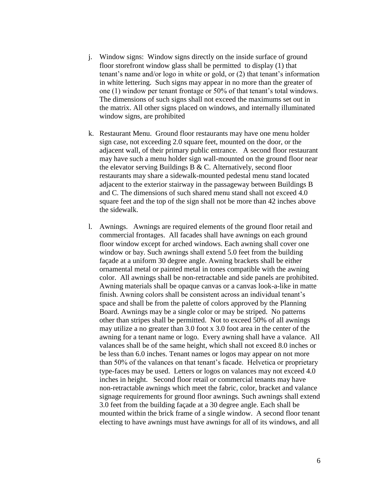- j. Window signs: Window signs directly on the inside surface of ground floor storefront window glass shall be permitted to display (1) that tenant's name and/or logo in white or gold, or (2) that tenant's information in white lettering. Such signs may appear in no more than the greater of one (1) window per tenant frontage or 50% of that tenant's total windows. The dimensions of such signs shall not exceed the maximums set out in the matrix. All other signs placed on windows, and internally illuminated window signs, are prohibited
- k. Restaurant Menu. Ground floor restaurants may have one menu holder sign case, not exceeding 2.0 square feet, mounted on the door, or the adjacent wall, of their primary public entrance. A second floor restaurant may have such a menu holder sign wall-mounted on the ground floor near the elevator serving Buildings B & C. Alternatively, second floor restaurants may share a sidewalk-mounted pedestal menu stand located adjacent to the exterior stairway in the passageway between Buildings B and C. The dimensions of such shared menu stand shall not exceed 4.0 square feet and the top of the sign shall not be more than 42 inches above the sidewalk.
- l. Awnings. Awnings are required elements of the ground floor retail and commercial frontages. All facades shall have awnings on each ground floor window except for arched windows. Each awning shall cover one window or bay. Such awnings shall extend 5.0 feet from the building façade at a uniform 30 degree angle. Awning brackets shall be either ornamental metal or painted metal in tones compatible with the awning color. All awnings shall be non-retractable and side panels are prohibited. Awning materials shall be opaque canvas or a canvas look-a-like in matte finish. Awning colors shall be consistent across an individual tenant's space and shall be from the palette of colors approved by the Planning Board. Awnings may be a single color or may be striped. No patterns other than stripes shall be permitted. Not to exceed 50% of all awnings may utilize a no greater than 3.0 foot x 3.0 foot area in the center of the awning for a tenant name or logo. Every awning shall have a valance. All valances shall be of the same height, which shall not exceed 8.0 inches or be less than 6.0 inches. Tenant names or logos may appear on not more than 50% of the valances on that tenant's facade. Helvetica or proprietary type-faces may be used. Letters or logos on valances may not exceed 4.0 inches in height. Second floor retail or commercial tenants may have non-retractable awnings which meet the fabric, color, bracket and valance signage requirements for ground floor awnings. Such awnings shall extend 3.0 feet from the building façade at a 30 degree angle. Each shall be mounted within the brick frame of a single window. A second floor tenant electing to have awnings must have awnings for all of its windows, and all